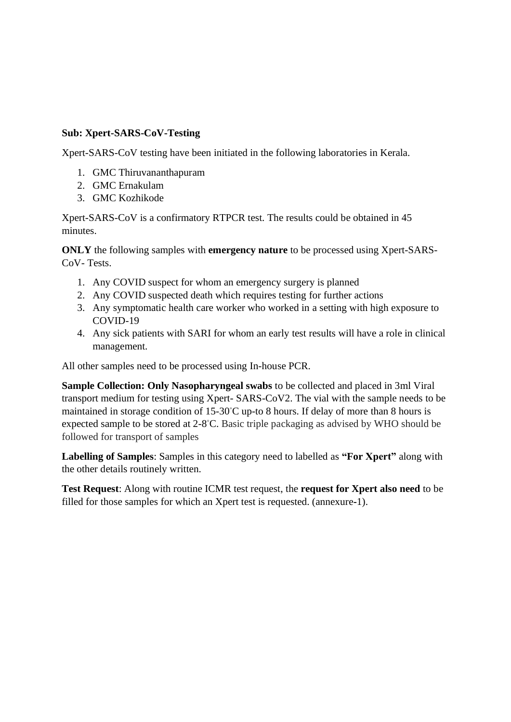## **Sub: Xpert-SARS-CoV-Testing**

Xpert-SARS-CoV testing have been initiated in the following laboratories in Kerala.

- 1. GMC Thiruvananthapuram
- 2. GMC Ernakulam
- 3. GMC Kozhikode

Xpert-SARS-CoV is a confirmatory RTPCR test. The results could be obtained in 45 minutes.

**ONLY** the following samples with **emergency nature** to be processed using Xpert-SARS-CoV- Tests.

- 1. Any COVID suspect for whom an emergency surgery is planned
- 2. Any COVID suspected death which requires testing for further actions
- 3. Any symptomatic health care worker who worked in a setting with high exposure to COVID-19
- 4. Any sick patients with SARI for whom an early test results will have a role in clinical management.

All other samples need to be processed using In-house PCR.

**Sample Collection: Only Nasopharyngeal swabs** to be collected and placed in 3ml Viral transport medium for testing using Xpert- SARS-CoV2. The vial with the sample needs to be maintained in storage condition of 15-30◦C up-to 8 hours. If delay of more than 8 hours is expected sample to be stored at 2-8°C. Basic triple packaging as advised by WHO should be followed for transport of samples

**Labelling of Samples**: Samples in this category need to labelled as **"For Xpert"** along with the other details routinely written.

**Test Request**: Along with routine ICMR test request, the **request for Xpert also need** to be filled for those samples for which an Xpert test is requested. (annexure**-**1).